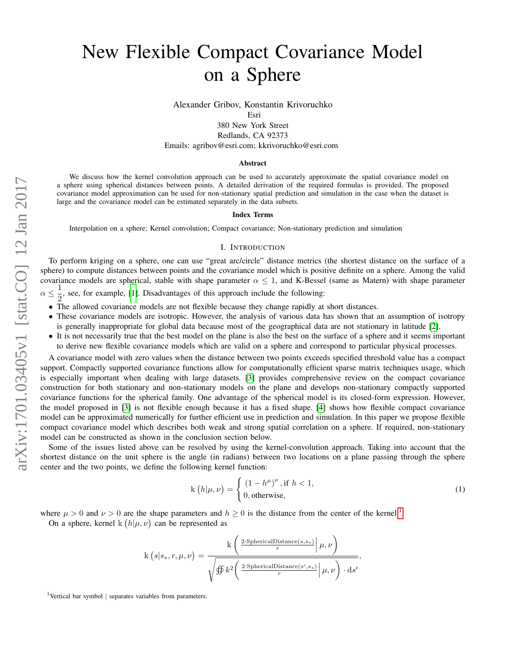# New Flexible Compact Covariance Model on a Sphere

Alexander Gribov, Konstantin Krivoruchko

Esri

380 New York Street Redlands, CA 92373

Emails: agribov@esri.com; kkrivoruchko@esri.com

### Abstract

We discuss how the kernel convolution approach can be used to accurately approximate the spatial covariance model on a sphere using spherical distances between points. A detailed derivation of the required formulas is provided. The proposed covariance model approximation can be used for non-stationary spatial prediction and simulation in the case when the dataset is large and the covariance model can be estimated separately in the data subsets.

#### Index Terms

Interpolation on a sphere; Kernel convolution; Compact covariance; Non-stationary prediction and simulation

# I. INTRODUCTION

To perform kriging on a sphere, one can use "great arc/circle" distance metrics (the shortest distance on the surface of a sphere) to compute distances between points and the covariance model which is positive definite on a sphere. Among the valid covariance models are spherical, stable with shape parameter  $\alpha \leq 1$ , and K-Bessel (same as Matern) with shape parameter  $\alpha \leq \frac{1}{2}$ 

 $\frac{1}{2}$ , see, for example, [\[1\]](#page-9-0). Disadvantages of this approach include the following:

- The allowed covariance models are not flexible because they change rapidly at short distances.
- These covariance models are isotropic. However, the analysis of various data has shown that an assumption of isotropy is generally inappropriate for global data because most of the geographical data are not stationary in latitude [\[2\]](#page-9-1).
- It is not necessarily true that the best model on the plane is also the best on the surface of a sphere and it seems important to derive new flexible covariance models which are valid on a sphere and correspond to particular physical processes.

A covariance model with zero values when the distance between two points exceeds specified threshold value has a compact support. Compactly supported covariance functions allow for computationally efficient sparse matrix techniques usage, which is especially important when dealing with large datasets. [\[3\]](#page-9-2) provides comprehensive review on the compact covariance construction for both stationary and non-stationary models on the plane and develops non-stationary compactly supported covariance functions for the spherical family. One advantage of the spherical model is its closed-form expression. However, the model proposed in [\[3\]](#page-9-2) is not flexible enough because it has a fixed shape. [\[4\]](#page-9-3) shows how flexible compact covariance model can be approximated numerically for further efficient use in prediction and simulation. In this paper we propose flexible compact covariance model which describes both weak and strong spatial correlation on a sphere. If required, non-stationary model can be constructed as shown in the conclusion section below.

Some of the issues listed above can be resolved by using the kernel-convolution approach. Taking into account that the shortest distance on the unit sphere is the angle (in radians) between two locations on a plane passing through the sphere center and the two points, we define the following kernel function:

<span id="page-0-1"></span>
$$
k(h|\mu, \nu) = \begin{cases} (1 - h^{\mu})^{\nu}, \text{if } h < 1, \\ 0, \text{otherwise}, \end{cases}
$$
 (1)

where  $\mu > 0$  and  $\nu > 0$  are the shape parameters and  $h \ge 0$  is the distance from the center of the kernel.<sup>[1](#page-0-0)</sup>

On a sphere, kernel k  $(h|\mu, \nu)$  can be represented as

$$
k(s|s_*, r, \mu, \nu) = \frac{k\left(\frac{2 \cdot \text{SphericalDistance}(s, s_*)}{r} | \mu, \nu\right)}{\sqrt{\text{fft } k^2 \left(\frac{2 \cdot \text{SphericalDistance}(s', s_*)}{r} | \mu, \nu\right) \cdot ds'}}
$$

<span id="page-0-0"></span><sup>&</sup>lt;sup>1</sup>Vertical bar symbol | separates variables from parameters.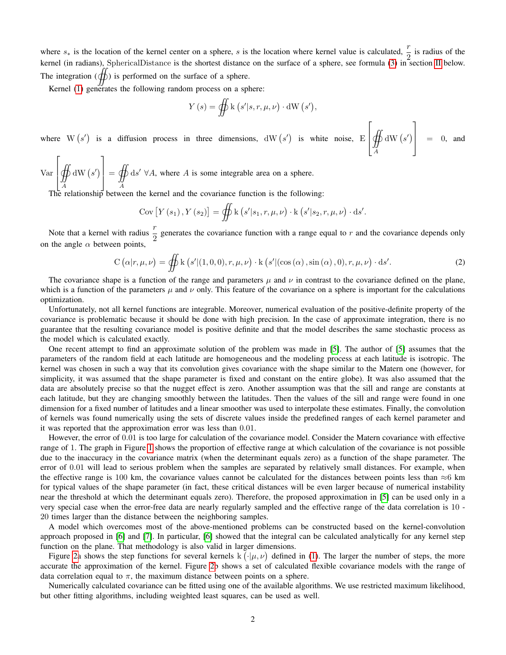where  $s_*$  is the location of the kernel center on a sphere, s is the location where kernel value is calculated,  $\frac{r}{\Omega}$  is radius of the where  $\frac{\partial z}{\partial t}$  is the isolation of the neighborhood a sphere,  $\frac{\partial z}{\partial t}$  is the isolation where neighborhood is calculated,  $\frac{2}{2}$  is radial of the shortest distance on the surface of a sphere, see formula [\(3\)](#page-2-0) in The integration  $(\oiint)$  is performed on the surface of a sphere.

Kernel [\(1\)](#page-0-1) generates the following random process on a sphere:

$$
Y(s) = \oiint k (s'|s, r, \mu, \nu) \cdot dW (s'),
$$

where W  $(s')$  is a diffusion process in three dimensions, dW  $(s')$  is white noise, E  $\lceil$  $\Big\}$  $\overline{A}$ A  $dW(s')$ 1  $\Big| = 0$ , and

Var  $\lceil$  $\Big\}$  $\overline{A}$ A  $dW(s')$ 1  $\Big| = \oint$ A  $ds'$   $\forall A$ , where A is some integrable area on a sphere.

The relationship between the kernel and the covariance function is the following:

Cov 
$$
[Y(s_1), Y(s_2)] = \oiint k (s'|s_1, r, \mu, \nu) \cdot k (s'|s_2, r, \mu, \nu) \cdot ds'.
$$

Note that a kernel with radius  $\frac{r}{2}$  generates the covariance function with a range equal to r and the covariance depends only on the angle  $\alpha$  between points,

<span id="page-1-0"></span>
$$
C(\alpha|r,\mu,\nu) = \oiint k \left(s'|(1,0,0),r,\mu,\nu\right) \cdot k \left(s'|(cos(\alpha),sin(\alpha),0),r,\mu,\nu\right) \cdot ds'.
$$
 (2)

The covariance shape is a function of the range and parameters  $\mu$  and  $\nu$  in contrast to the covariance defined on the plane, which is a function of the parameters  $\mu$  and  $\nu$  only. This feature of the covariance on a sphere is important for the calculations optimization.

Unfortunately, not all kernel functions are integrable. Moreover, numerical evaluation of the positive-definite property of the covariance is problematic because it should be done with high precision. In the case of approximate integration, there is no guarantee that the resulting covariance model is positive definite and that the model describes the same stochastic process as the model which is calculated exactly.

One recent attempt to find an approximate solution of the problem was made in [\[5\]](#page-9-4). The author of [\[5\]](#page-9-4) assumes that the parameters of the random field at each latitude are homogeneous and the modeling process at each latitude is isotropic. The kernel was chosen in such a way that its convolution gives covariance with the shape similar to the Matern one (however, for simplicity, it was assumed that the shape parameter is fixed and constant on the entire globe). It was also assumed that the data are absolutely precise so that the nugget effect is zero. Another assumption was that the sill and range are constants at each latitude, but they are changing smoothly between the latitudes. Then the values of the sill and range were found in one dimension for a fixed number of latitudes and a linear smoother was used to interpolate these estimates. Finally, the convolution of kernels was found numerically using the sets of discrete values inside the predefined ranges of each kernel parameter and it was reported that the approximation error was less than 0.01.

However, the error of 0.01 is too large for calculation of the covariance model. Consider the Matern covariance with effective range of 1. The graph in Figure [1](#page-2-2) shows the proportion of effective range at which calculation of the covariance is not possible due to the inaccuracy in the covariance matrix (when the determinant equals zero) as a function of the shape parameter. The error of 0.01 will lead to serious problem when the samples are separated by relatively small distances. For example, when the effective range is 100 km, the covariance values cannot be calculated for the distances between points less than  $\approx$ 6 km for typical values of the shape parameter (in fact, these critical distances will be even larger because of numerical instability near the threshold at which the determinant equals zero). Therefore, the proposed approximation in [\[5\]](#page-9-4) can be used only in a very special case when the error-free data are nearly regularly sampled and the effective range of the data correlation is 10 - 20 times larger than the distance between the neighboring samples.

A model which overcomes most of the above-mentioned problems can be constructed based on the kernel-convolution approach proposed in [\[6\]](#page-9-5) and [\[7\]](#page-9-6). In particular, [\[6\]](#page-9-5) showed that the integral can be calculated analytically for any kernel step function on the plane. That methodology is also valid in larger dimensions.

Figure [2a](#page-3-0) shows the step functions for several kernels  $k(\cdot|\mu,\nu)$  defined in [\(1\)](#page-0-1). The larger the number of steps, the more accurate the approximation of the kernel. Figure [2b](#page-3-0) shows a set of calculated flexible covariance models with the range of data correlation equal to  $\pi$ , the maximum distance between points on a sphere.

Numerically calculated covariance can be fitted using one of the available algorithms. We use restricted maximum likelihood, but other fitting algorithms, including weighted least squares, can be used as well.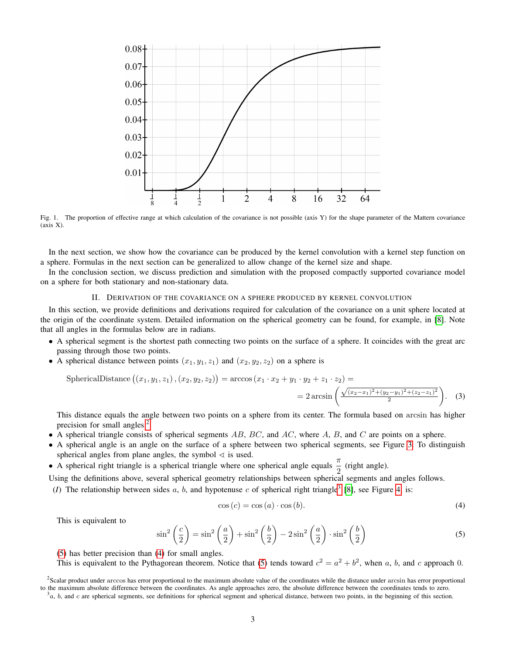

<span id="page-2-2"></span>Fig. 1. The proportion of effective range at which calculation of the covariance is not possible (axis Y) for the shape parameter of the Mattern covariance (axis X).

In the next section, we show how the covariance can be produced by the kernel convolution with a kernel step function on a sphere. Formulas in the next section can be generalized to allow change of the kernel size and shape.

In the conclusion section, we discuss prediction and simulation with the proposed compactly supported covariance model on a sphere for both stationary and non-stationary data.

# II. DERIVATION OF THE COVARIANCE ON A SPHERE PRODUCED BY KERNEL CONVOLUTION

<span id="page-2-1"></span>In this section, we provide definitions and derivations required for calculation of the covariance on a unit sphere located at the origin of the coordinate system. Detailed information on the spherical geometry can be found, for example, in [\[8\]](#page-9-7). Note that all angles in the formulas below are in radians.

- A spherical segment is the shortest path connecting two points on the surface of a sphere. It coincides with the great arc passing through those two points.
- A spherical distance between points  $(x_1, y_1, z_1)$  and  $(x_2, y_2, z_2)$  on a sphere is

SphericalDistance 
$$
((x_1, y_1, z_1), (x_2, y_2, z_2))
$$
 = arccos  $(x_1 \cdot x_2 + y_1 \cdot y_2 + z_1 \cdot z_2)$  =  
=  $2 \arcsin \left( \frac{\sqrt{(x_2 - x_1)^2 + (y_2 - y_1)^2 + (z_2 - z_1)^2}}{2} \right)$ . (3)

This distance equals the angle between two points on a sphere from its center. The formula based on arcsin has higher precision for small angles.<sup>[2](#page-2-3)</sup>

- A spherical triangle consists of spherical segments  $AB$ ,  $BC$ , and  $AC$ , where  $A$ ,  $B$ , and  $C$  are points on a sphere.
- A spherical angle is an angle on the surface of a sphere between two spherical segments, see Figure [3.](#page-4-0) To distinguish spherical angles from plane angles, the symbol  $\leq$  is used.
- A spherical right triangle is a spherical triangle where one spherical angle equals  $\frac{\pi}{2}$  (right angle).

Using the definitions above, several spherical geometry relationships between spherical segments and angles follows.

<span id="page-2-7"></span>(*I*) The relationship between sides a, b, and hypotenuse c of spherical right triangle<sup>[3](#page-2-4)</sup> [\[8\]](#page-9-7), see Figure [4,](#page-4-1) is:

<span id="page-2-6"></span><span id="page-2-0"></span>
$$
\cos(c) = \cos(a) \cdot \cos(b). \tag{4}
$$

This is equivalent to

<span id="page-2-5"></span>
$$
\sin^2\left(\frac{c}{2}\right) = \sin^2\left(\frac{a}{2}\right) + \sin^2\left(\frac{b}{2}\right) - 2\sin^2\left(\frac{a}{2}\right)\cdot\sin^2\left(\frac{b}{2}\right) \tag{5}
$$

[\(5\)](#page-2-5) has better precision than [\(4\)](#page-2-6) for small angles.

This is equivalent to the Pythagorean theorem. Notice that [\(5\)](#page-2-5) tends toward  $c^2 = a^2 + b^2$ , when a, b, and c approach 0.

<span id="page-2-3"></span><sup>&</sup>lt;sup>2</sup>Scalar product under arccos has error proportional to the maximum absolute value of the coordinates while the distance under arcsin has error proportional to the maximum absolute difference between the coordinates. As angle approaches zero, the absolute difference between the coordinates tends to zero.

<span id="page-2-4"></span> $3a$ , b, and c are spherical segments, see definitions for spherical segment and spherical distance, between two points, in the beginning of this section.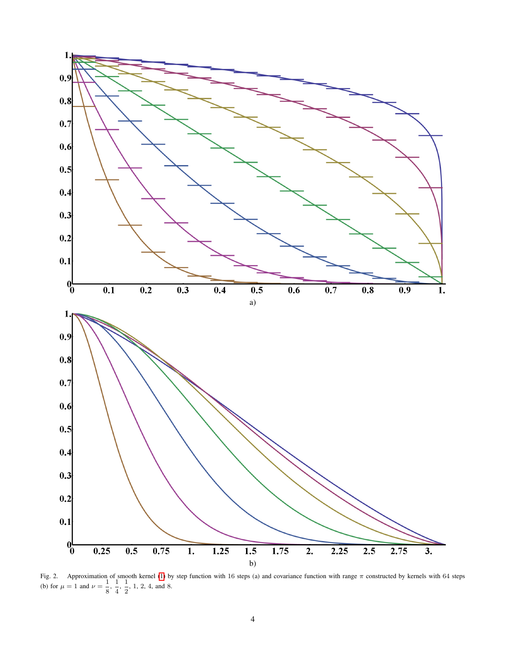

<span id="page-3-0"></span>Fig. 2. Approximation of smooth kernel [\(1\)](#page-0-1) by step function with 16 steps (a) and covariance function with range  $\pi$  constructed by kernels with 64 steps (b) for  $\mu = 1$  and  $\nu = \frac{1}{2}$  $\frac{1}{8}, \frac{1}{4}$  $\frac{1}{4}$ ,  $\frac{1}{2}$  $\frac{1}{2}$ , 1, 2, 4, and 8.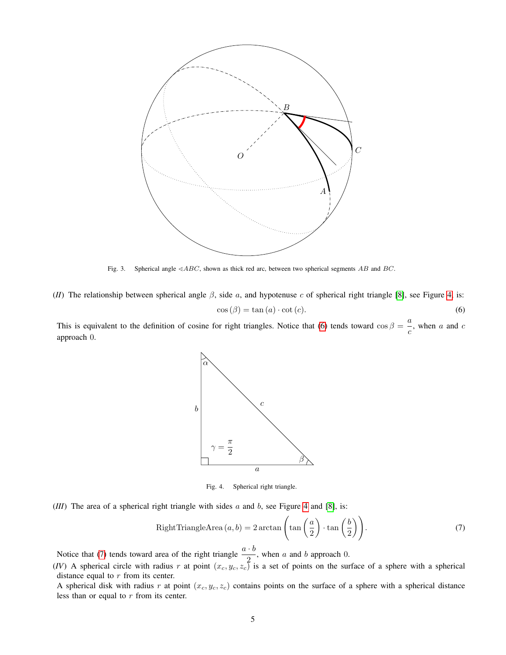

<span id="page-4-0"></span>Fig. 3. Spherical angle  $\triangle ABC$ , shown as thick red arc, between two spherical segments AB and BC.

<span id="page-4-4"></span>(*II*) The relationship between spherical angle  $\beta$ , side  $a$ , and hypotenuse  $c$  of spherical right triangle [\[8\]](#page-9-7), see Figure [4,](#page-4-1) is:  $\cos(\beta) = \tan(a) \cdot \cot(c).$  (6)

This is equivalent to the definition of cosine for right triangles. Notice that [\(6\)](#page-4-2) tends toward  $\cos \beta = \frac{a}{\overline{\alpha}}$  $\frac{\alpha}{c}$ , when a and c approach 0.

<span id="page-4-2"></span>

<span id="page-4-1"></span>Fig. 4. Spherical right triangle.

 $(III)$  The area of a spherical right triangle with sides  $a$  and  $b$ , see Figure [4](#page-4-1) and [\[8\]](#page-9-7), is:

<span id="page-4-3"></span>RightTriangleArea 
$$
(a, b) = 2 \arctan \left( \tan \left( \frac{a}{2} \right) \cdot \tan \left( \frac{b}{2} \right) \right)
$$
. (7)

Notice that [\(7\)](#page-4-3) tends toward area of the right triangle  $\frac{a \cdot b}{2}$ , when a and b approach 0.

(*IV*) A spherical circle with radius r at point  $(x_c, y_c, z_c)$  is a set of points on the surface of a sphere with a spherical distance equal to  $r$  from its center.

A spherical disk with radius r at point  $(x_c, y_c, z_c)$  contains points on the surface of a sphere with a spherical distance less than or equal to  $r$  from its center.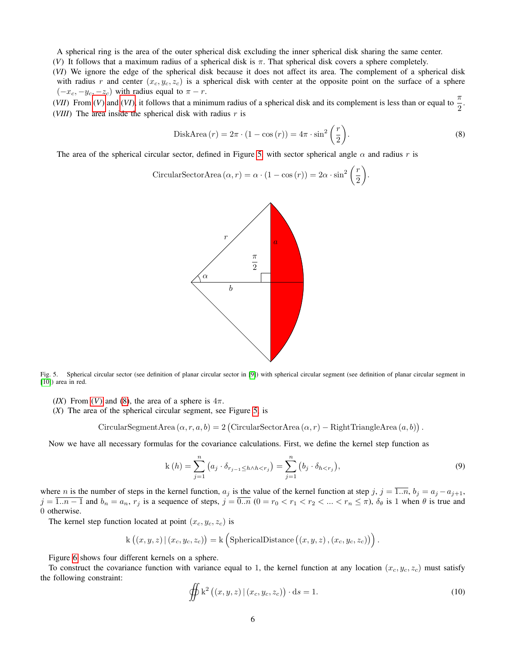A spherical ring is the area of the outer spherical disk excluding the inner spherical disk sharing the same center.

<span id="page-5-0"></span>(*V*) It follows that a maximum radius of a spherical disk is  $\pi$ . That spherical disk covers a sphere completely.

<span id="page-5-1"></span>(*VI*) We ignore the edge of the spherical disk because it does not affect its area. The complement of a spherical disk with radius r and center  $(x_c, y_c, z_c)$  is a spherical disk with center at the opposite point on the surface of a sphere  $(-x_c, -y_c, -z_c)$  with radius equal to  $\pi - r$ .

<span id="page-5-6"></span>(*[V](#page-5-0)II*) From (*V*) and (*[VI](#page-5-1)*), it follows that a minimum radius of a spherical disk and its complement is less than or equal to  $\frac{\pi}{2}$ . ( $VIII$ ) The area inside the spherical disk with radius  $r$  is

<span id="page-5-3"></span>DiskArea 
$$
(r) = 2\pi \cdot (1 - \cos(r)) = 4\pi \cdot \sin^2\left(\frac{r}{2}\right)
$$
. (8)

The area of the spherical circular sector, defined in Figure [5,](#page-5-2) with sector spherical angle  $\alpha$  and radius r is

CircularSectorArea 
$$
(\alpha, r) = \alpha \cdot (1 - \cos(r)) = 2\alpha \cdot \sin^2\left(\frac{r}{2}\right)
$$
.



<span id="page-5-2"></span>Fig. 5. Spherical circular sector (see definition of planar circular sector in [\[9\]](#page-9-8)) with spherical circular segment (see definition of planar circular segment in [\[10\]](#page-9-9)) area in red.

- <span id="page-5-7"></span>(*IX*) From (*[V](#page-5-0)*) and [\(8\)](#page-5-3), the area of a sphere is  $4\pi$ .
- <span id="page-5-8"></span>(*X*) The area of the spherical circular segment, see Figure [5,](#page-5-2) is

CircularSegmentArea  $(\alpha, r, a, b) = 2$  (CircularSectorArea  $(\alpha, r)$  – RightTriangleArea  $(a, b)$ ).

Now we have all necessary formulas for the covariance calculations. First, we define the kernel step function as

<span id="page-5-5"></span>
$$
k(h) = \sum_{j=1}^{n} (a_j \cdot \delta_{r_{j-1} \le h \land h < r_j}) = \sum_{j=1}^{n} (b_j \cdot \delta_{h < r_j}), \tag{9}
$$

where *n* is the number of steps in the kernel function,  $a_j$  is the value of the kernel function at step j,  $j = \overline{1..n}$ ,  $b_j = a_j - a_{j+1}$ ,  $j = \overline{1..n-1}$  and  $b_n = a_n$ ,  $r_j$  is a sequence of steps,  $j = \overline{0..n}$   $(0 = r_0 < r_1 < r_2 < ... < r_n \le \pi)$ ,  $\delta_{\theta}$  is 1 when  $\theta$  is true and 0 otherwise.

The kernel step function located at point  $(x_c, y_c, z_c)$  is

$$
k((x, y, z) | (x_c, y_c, z_c)) = k \left( \text{SphericalDistance} ((x, y, z), (x_c, y_c, z_c)) \right).
$$

Figure [6](#page-6-0) shows four different kernels on a sphere.

To construct the covariance function with variance equal to 1, the kernel function at any location  $(x_c, y_c, z_c)$  must satisfy the following constraint:

<span id="page-5-4"></span>
$$
\oiint k^2 ((x, y, z) | (x_c, y_c, z_c)) \cdot ds = 1.
$$
\n(10)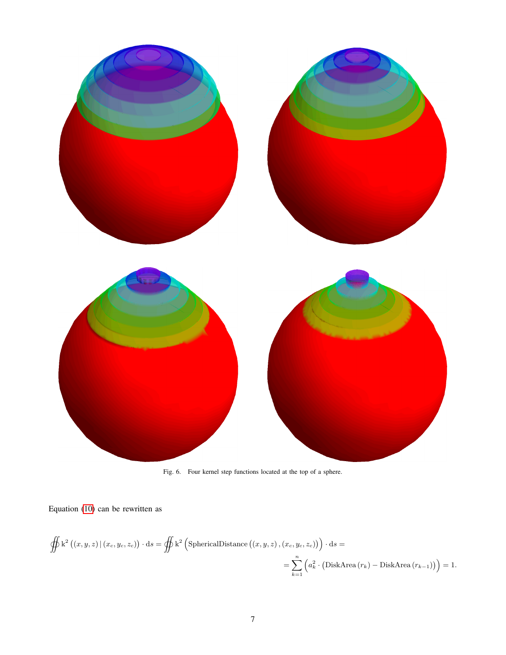

<span id="page-6-0"></span>Fig. 6. Four kernel step functions located at the top of a sphere.

Equation [\(10\)](#page-5-4) can be rewritten as

$$
\oiint k^2 ((x, y, z) | (x_c, y_c, z_c)) \cdot ds = \oiint k^2 (SphericalDistance((x, y, z), (x_c, y_c, z_c))) \cdot ds =
$$
\n
$$
= \sum_{k=1}^n (a_k^2 \cdot (DiskArea(r_k) - DiskArea(r_{k-1}))) = 1.
$$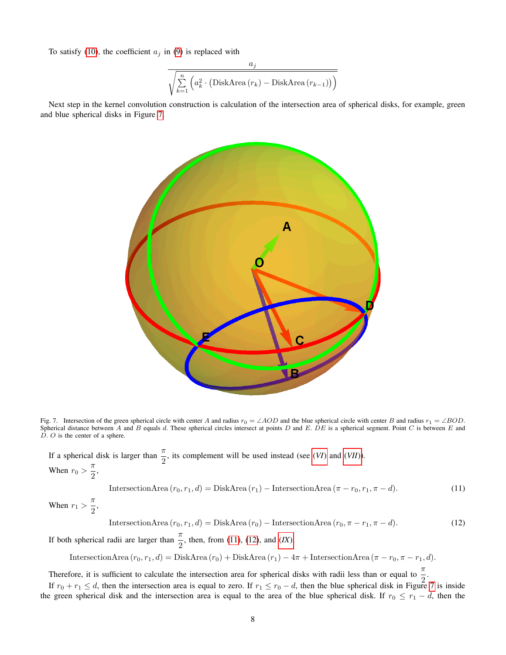To satisfy [\(10\)](#page-5-4), the coefficient  $a_j$  in [\(9\)](#page-5-5) is replaced with

$$
\frac{a_j}{\sqrt{\sum\limits_{k=1}^{n} \left(a_k^2 \cdot \left(\text{DiskArea}\left(r_k\right) - \text{DiskArea}\left(r_{k-1}\right)\right)\right)}}
$$

Next step in the kernel convolution construction is calculation of the intersection area of spherical disks, for example, green and blue spherical disks in Figure [7.](#page-7-0)



<span id="page-7-0"></span>Fig. 7. Intersection of the green spherical circle with center A and radius  $r_0 = \angle AOD$  and the blue spherical circle with center B and radius  $r_1 = \angle BOD$ . Spherical distance between A and B equals d. These spherical circles intersect at points D and E. DE is a spherical segment. Point C is between E and D. O is the center of a sphere.

If a spherical disk is larger than  $\frac{\pi}{2}$ , its complement will be used instead (see (*[VI](#page-5-1)*) and (*[VII](#page-5-6)*)). When  $r_0 > \frac{\pi}{2}$  $\frac{\pi}{2}$ 

<span id="page-7-1"></span>
$$
IntersectionArea(r_0, r_1, d) = DiskArea(r_1) - IntersectionArea(\pi - r_0, r_1, \pi - d).
$$
\n(11)

When  $r_1 > \frac{\pi}{2}$  $\frac{\pi}{2}$ 

<span id="page-7-2"></span>
$$
IntersectionArea(r_0, r_1, d) = DiskArea(r_0) - IntersectionArea(r_0, \pi - r_1, \pi - d).
$$
\n(12)

If both spherical radii are larger than  $\frac{\pi}{2}$ , then, from [\(11\)](#page-7-1), [\(12\)](#page-7-2), and (*[IX](#page-5-7)*),

IntersectionArea  $(r_0, r_1, d) = \text{DiskArea}(r_0) + \text{DiskArea}(r_1) - 4\pi + \text{IntersectionArea}(\pi - r_0, \pi - r_1, d)$ .

Therefore, it is sufficient to calculate the intersection area for spherical disks with radii less than or equal to  $\frac{\pi}{6}$ .

If  $r_0 + r_1 \le d$ , then the intersection area is equal to zero. If  $r_1 \le r_0 - d$ , then the blue spherical disk in Figure [7](#page-7-0) is inside the green spherical disk and the intersection area is equal to the area of the blue spherical disk. If  $r_0 \le r_1 - d$ , then the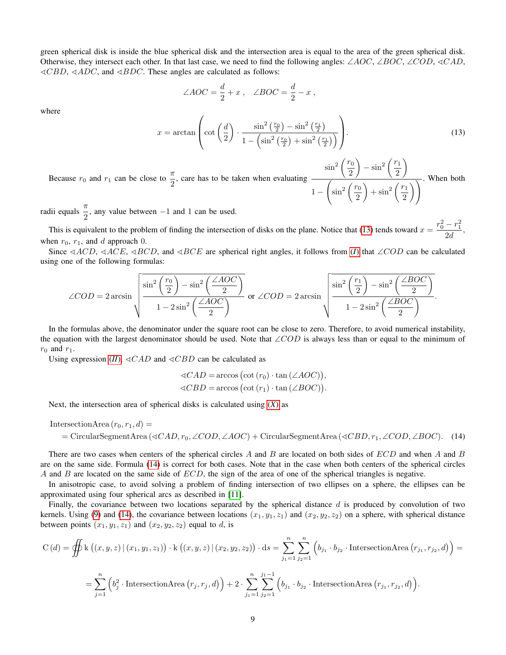green spherical disk is inside the blue spherical disk and the intersection area is equal to the area of the green spherical disk. Otherwise, they intersect each other. In that last case, we need to find the following angles: ∠AOC, ∠BOC, ∠COD,  $\triangle$ CAD,  $\triangle$ CBD,  $\triangle$ ADC, and  $\triangle$ BDC. These angles are calculated as follows:

$$
\angle AOC = \frac{d}{2} + x \ , \quad \angle BOC = \frac{d}{2} - x \ ,
$$

where

<span id="page-8-0"></span>
$$
x = \arctan\left(\cot\left(\frac{d}{2}\right) \cdot \frac{\sin^2\left(\frac{r_0}{2}\right) - \sin^2\left(\frac{r_1}{2}\right)}{1 - \left(\sin^2\left(\frac{r_0}{2}\right) + \sin^2\left(\frac{r_1}{2}\right)\right)}\right).
$$
(13)

Because  $r_0$  and  $r_1$  can be close to  $\frac{\pi}{2}$ , care has to be taken when evaluating  $\sin^2\left(\frac{r_0}{5}\right)$ 2  $-\sin^2\left(\frac{r_1}{2}\right)$ 2  $\setminus$ 1 −  $\sqrt{2}$  $\sin^2\left(\frac{r_0}{5}\right)$ 2  $+\sin^2\left(\frac{r_1}{2}\right)$ 2  $\overline{\wedge}$ . When both

radii equals  $\frac{\pi}{2}$ , any value between  $-1$  and 1 can be used.

This is equivalent to the problem of finding the intersection of disks on the plane. Notice that [\(13\)](#page-8-0) tends toward  $x = \frac{r_0^2 - r_1^2}{2l}$  $\frac{1}{2d},$ when  $r_0$ ,  $r_1$ , and d approach 0.

Since  $\triangle ACD$ ,  $\triangle ACE$ ,  $\triangle BCD$ , and  $\triangle BCE$  are spherical right angles, it follows from (*I*[\)](#page-2-7) that ∠COD can be calculated using one of the following formulas:

$$
\angle COD = 2 \arcsin \sqrt{\frac{\sin^2\left(\frac{r_0}{2}\right) - \sin^2\left(\frac{\angle AOC}{2}\right)}{1 - 2\sin^2\left(\frac{\angle AOC}{2}\right)}} \text{ or } \angle COD = 2 \arcsin \sqrt{\frac{\sin^2\left(\frac{r_1}{2}\right) - \sin^2\left(\frac{\angle BOC}{2}\right)}{1 - 2\sin^2\left(\frac{\angle BOC}{2}\right)}}.
$$

In the formulas above, the denominator under the square root can be close to zero. Therefore, to avoid numerical instability, the equation with the largest denominator should be used. Note that ∠COD is always less than or equal to the minimum of  $r_0$  and  $r_1$ .

Using expression  $(II)$  $(II)$  $(II)$ ,  $\triangle$ CAD and  $\triangle$ CBD can be calculated as

<span id="page-8-1"></span>
$$
\triangle ACD = \arccos(\cot(r_0) \cdot \tan(\angle AOC)),
$$
  
 
$$
\triangle CBD = \arccos(\cot(r_1) \cdot \tan(\angle BOC)).
$$

Next, the intersection area of spherical disks is calculated using (*[X](#page-5-8)*) as

$$
IntersectionArea (r_0, r_1, d) =
$$
  
= CircularSegmentArea ( $\langle CAD, r_0, \angle COD, \angle AOC$ ) + CircularSegmentArea ( $\langle CBD, r_1, \angle COD, \angle BOC$ ). (14)

There are two cases when centers of the spherical circles  $A$  and  $B$  are located on both sides of  $ECD$  and when  $A$  and  $B$ are on the same side. Formula [\(14\)](#page-8-1) is correct for both cases. Note that in the case when both centers of the spherical circles A and B are located on the same side of  $ECD$ , the sign of the area of one of the spherical triangles is negative.

In anisotropic case, to avoid solving a problem of finding intersection of two ellipses on a sphere, the ellipses can be approximated using four spherical arcs as described in [\[11\]](#page-9-10).

Finally, the covariance between two locations separated by the spherical distance  $d$  is produced by convolution of two kernels. Using [\(9\)](#page-5-5) and [\(14\)](#page-8-1), the covariance between locations  $(x_1, y_1, z_1)$  and  $(x_2, y_2, z_2)$  on a sphere, with spherical distance between points  $(x_1, y_1, z_1)$  and  $(x_2, y_2, z_2)$  equal to d, is

$$
C(d) = \oiint k ((x, y, z) | (x_1, y_1, z_1)) \cdot k ((x, y, z) | (x_2, y_2, z_2)) \cdot ds = \sum_{j_1=1}^n \sum_{j_2=1}^n (b_{j_1} \cdot b_{j_2} \cdot \text{IntersectionArea}(r_{j_1}, r_{j_2}, d)) =
$$
  
= 
$$
\sum_{j=1}^n (b_j^2 \cdot \text{IntersectionArea}(r_j, r_j, d)) + 2 \cdot \sum_{j_1=1}^n \sum_{j_2=1}^{j_1-1} (b_{j_1} \cdot b_{j_2} \cdot \text{IntersectionArea}(r_{j_1}, r_{j_2}, d)).
$$